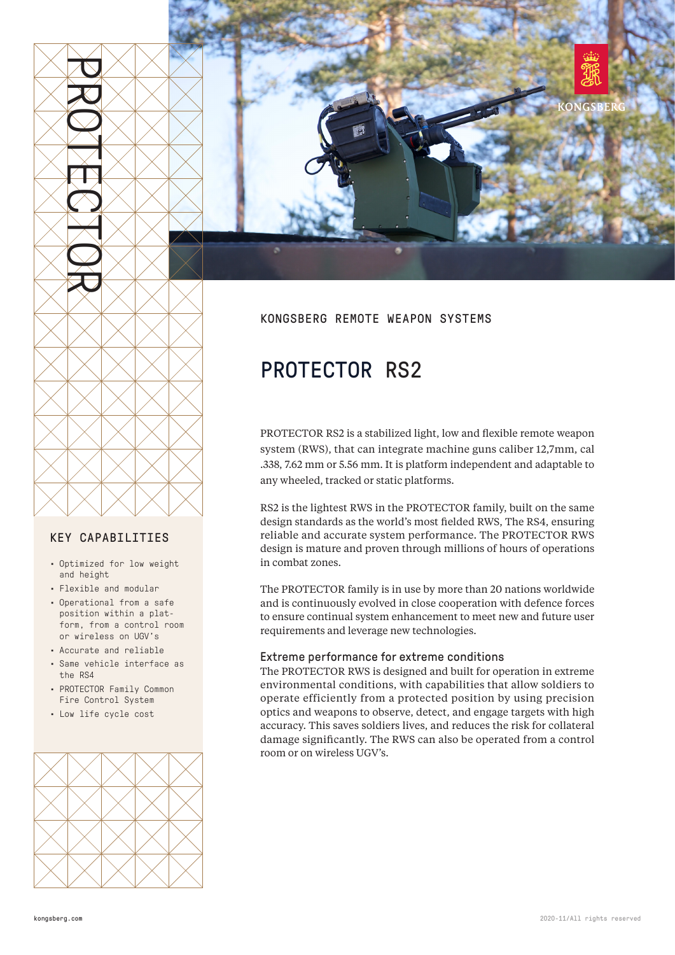

### KEY CAPABILITIES

- Optimized for low weight and height
- Flexible and modular
- Operational from a safe position within a platform, from a control room or wireless on UGV's
- Accurate and reliable
- Same vehicle interface as the RS4
- PROTECTOR Family Common Fire Control System
- Low life cycle cost





# KONGSBERG REMOTE WEAPON SYSTEMS

# PROTECTOR RS2

PROTECTOR RS2 is a stabilized light, low and flexible remote weapon system (RWS), that can integrate machine guns caliber 12,7mm, cal .338, 7.62 mm or 5.56 mm. It is platform independent and adaptable to any wheeled, tracked or static platforms.

RS2 is the lightest RWS in the PROTECTOR family, built on the same design standards as the world's most fielded RWS, The RS4, ensuring reliable and accurate system performance. The PROTECTOR RWS design is mature and proven through millions of hours of operations in combat zones.

The PROTECTOR family is in use by more than 20 nations worldwide and is continuously evolved in close cooperation with defence forces to ensure continual system enhancement to meet new and future user requirements and leverage new technologies.

#### Extreme performance for extreme conditions

The PROTECTOR RWS is designed and built for operation in extreme environmental conditions, with capabilities that allow soldiers to operate efficiently from a protected position by using precision optics and weapons to observe, detect, and engage targets with high accuracy. This saves soldiers lives, and reduces the risk for collateral damage significantly. The RWS can also be operated from a control room or on wireless UGV's.